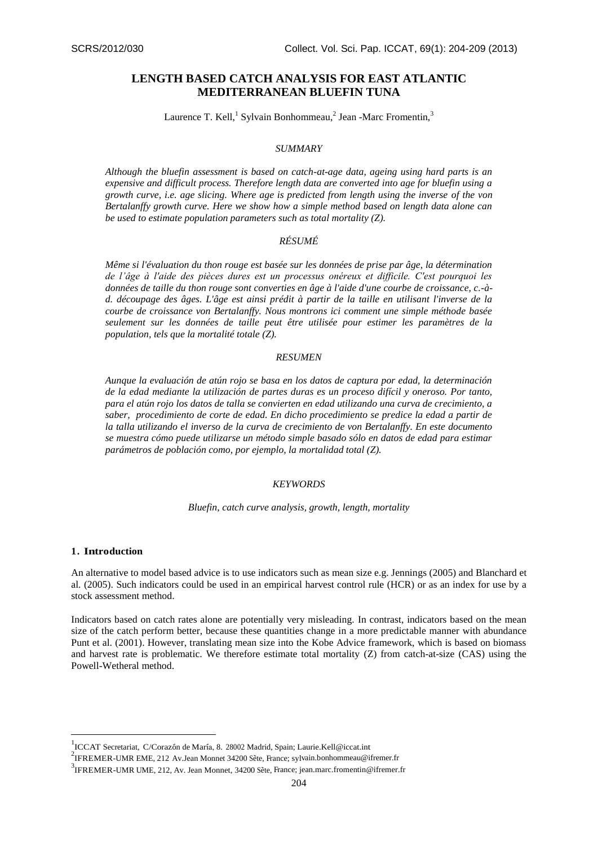# **LENGTH BASED CATCH ANALYSIS FOR EAST ATLANTIC MEDITERRANEAN BLUEFIN TUNA**

Laurence T. Kell,<sup>1</sup> Sylvain Bonhommeau,<sup>2</sup> Jean -Marc Fromentin,<sup>3</sup>

### *SUMMARY*

*Although the bluefin assessment is based on catch-at-age data, ageing using hard parts is an expensive and difficult process. Therefore length data are converted into age for bluefin using a growth curve, i.e. age slicing. Where age is predicted from length using the inverse of the von Bertalanffy growth curve. Here we show how a simple method based on length data alone can be used to estimate population parameters such as total mortality (Z).*

# *RÉSUMÉ*

*Même si l'évaluation du thon rouge est basée sur les données de prise par âge, la détermination de l'âge à l'aide des pièces dures est un processus onéreux et difficile. C'est pourquoi les données de taille du thon rouge sont converties en âge à l'aide d'une courbe de croissance, c.-àd. découpage des âges. L'âge est ainsi prédit à partir de la taille en utilisant l'inverse de la courbe de croissance von Bertalanffy. Nous montrons ici comment une simple méthode basée seulement sur les données de taille peut être utilisée pour estimer les paramètres de la population, tels que la mortalité totale (Z).*

## *RESUMEN*

*Aunque la evaluación de atún rojo se basa en los datos de captura por edad, la determinación de la edad mediante la utilización de partes duras es un proceso difícil y oneroso. Por tanto, para el atún rojo los datos de talla se convierten en edad utilizando una curva de crecimiento, a saber, procedimiento de corte de edad. En dicho procedimiento se predice la edad a partir de la talla utilizando el inverso de la curva de crecimiento de von Bertalanffy. En este documento se muestra cómo puede utilizarse un método simple basado sólo en datos de edad para estimar parámetros de población como, por ejemplo, la mortalidad total (Z).*

#### *KEYWORDS*

#### *Bluefin, catch curve analysis, growth, length, mortality*

#### **1. Introduction**

 $\overline{\phantom{a}}$ 

An alternative to model based advice is to use indicators such as mean size e.g. Jennings (2005) and Blanchard et al. (2005). Such indicators could be used in an empirical harvest control rule (HCR) or as an index for use by a stock assessment method.

Indicators based on catch rates alone are potentially very misleading. In contrast, indicators based on the mean size of the catch perform better, because these quantities change in a more predictable manner with abundance Punt et al. (2001). However, translating mean size into the Kobe Advice framework, which is based on biomass and harvest rate is problematic. We therefore estimate total mortality (Z) from catch-at-size (CAS) using the Powell-Wetheral method.

<sup>1&</sup>lt;br>ICCAT Secretariat, C/Corazón de María, 8. 28002 Madrid, Spain[; Laurie.Kell@iccat.int](mailto:Laurie.Kell@iccat.int)

<sup>&</sup>lt;sup>2</sup> IFREMER-UMR EME, 212 Av.Jean Monnet 34200 Sète, France; sylvain.bonhommeau@ifremer.fr

 $3$ IFREMER-UMR UME, 212, Av. Jean Monnet, 34200 Sète, France; jean.marc.fromentin@ifremer.fr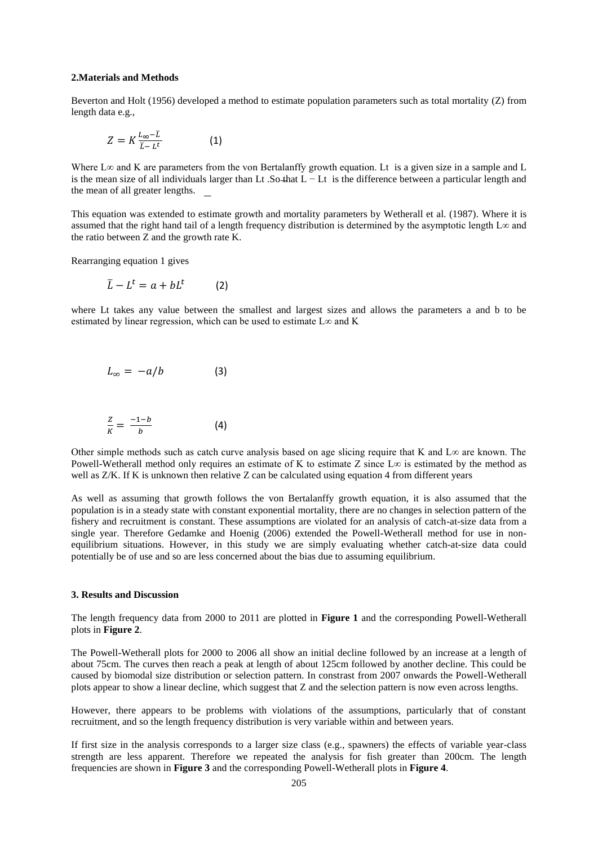#### **2.Materials and Methods**

Beverton and Holt (1956) developed a method to estimate population parameters such as total mortality (Z) from length data e.g.,

$$
Z = K \frac{L_{\infty} - \bar{L}}{\bar{L} - L^{t}} \tag{1}
$$

Where L∞ and K are parameters from the von Bertalanffy growth equation. Lt is a given size in a sample and L is the mean size of all individuals larger than Lt .So that L − Lt is the difference between a particular length and the mean of all greater lengths.

This equation was extended to estimate growth and mortality parameters by Wetherall et al. (1987). Where it is assumed that the right hand tail of a length frequency distribution is determined by the asymptotic length  $L\infty$  and the ratio between Z and the growth rate K.

Rearranging equation 1 gives

$$
\bar{L} - L^t = a + bL^t \qquad (2)
$$

where Lt takes any value between the smallest and largest sizes and allows the parameters a and b to be estimated by linear regression, which can be used to estimate  $L\infty$  and K

$$
L_{\infty} = -a/b \tag{3}
$$

$$
\frac{Z}{K} = \frac{-1-b}{b} \tag{4}
$$

Other simple methods such as catch curve analysis based on age slicing require that K and L∞ are known. The Powell-Wetherall method only requires an estimate of K to estimate Z since L∞ is estimated by the method as well as  $Z/K$ . If K is unknown then relative Z can be calculated using equation 4 from different years

As well as assuming that growth follows the von Bertalanffy growth equation, it is also assumed that the population is in a steady state with constant exponential mortality, there are no changes in selection pattern of the fishery and recruitment is constant. These assumptions are violated for an analysis of catch-at-size data from a single year. Therefore Gedamke and Hoenig (2006) extended the Powell-Wetherall method for use in nonequilibrium situations. However, in this study we are simply evaluating whether catch-at-size data could potentially be of use and so are less concerned about the bias due to assuming equilibrium.

#### **3. Results and Discussion**

The length frequency data from 2000 to 2011 are plotted in **Figure 1** and the corresponding Powell-Wetherall plots in **Figure 2**.

The Powell-Wetherall plots for 2000 to 2006 all show an initial decline followed by an increase at a length of about 75cm. The curves then reach a peak at length of about 125cm followed by another decline. This could be caused by biomodal size distribution or selection pattern. In constrast from 2007 onwards the Powell-Wetherall plots appear to show a linear decline, which suggest that Z and the selection pattern is now even across lengths.

However, there appears to be problems with violations of the assumptions, particularly that of constant recruitment, and so the length frequency distribution is very variable within and between years.

If first size in the analysis corresponds to a larger size class (e.g., spawners) the effects of variable year-class strength are less apparent. Therefore we repeated the analysis for fish greater than 200cm. The length frequencies are shown in **Figure 3** and the corresponding Powell-Wetherall plots in **Figure 4**.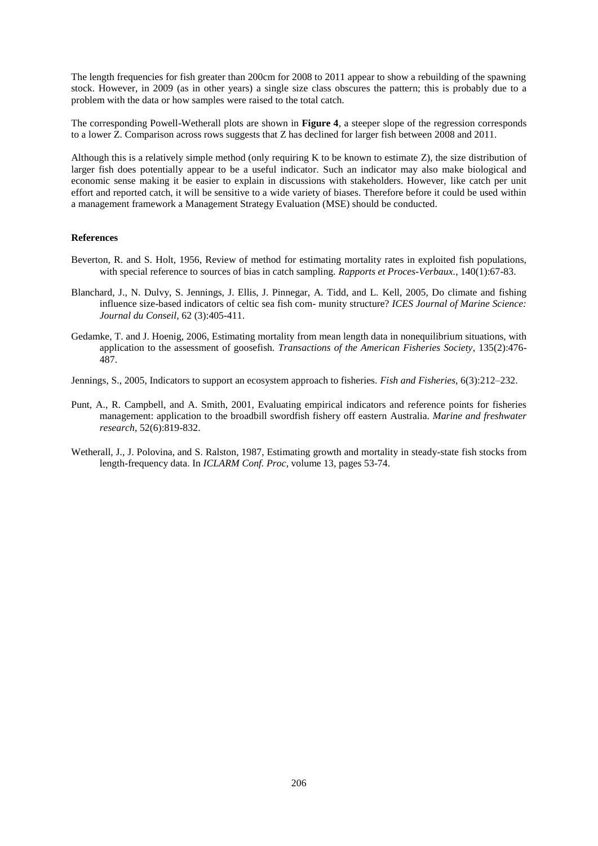The length frequencies for fish greater than 200cm for 2008 to 2011 appear to show a rebuilding of the spawning stock. However, in 2009 (as in other years) a single size class obscures the pattern; this is probably due to a problem with the data or how samples were raised to the total catch.

The corresponding Powell-Wetherall plots are shown in **Figure 4**, a steeper slope of the regression corresponds to a lower Z. Comparison across rows suggests that Z has declined for larger fish between 2008 and 2011.

Although this is a relatively simple method (only requiring K to be known to estimate Z), the size distribution of larger fish does potentially appear to be a useful indicator. Such an indicator may also make biological and economic sense making it be easier to explain in discussions with stakeholders. However, like catch per unit effort and reported catch, it will be sensitive to a wide variety of biases. Therefore before it could be used within a management framework a Management Strategy Evaluation (MSE) should be conducted.

### **References**

- Beverton, R. and S. Holt, 1956, Review of method for estimating mortality rates in exploited fish populations, with special reference to sources of bias in catch sampling. *Rapports et Proces-Verbaux.*, 140(1):67-83.
- Blanchard, J., N. Dulvy, S. Jennings, J. Ellis, J. Pinnegar, A. Tidd, and L. Kell, 2005, Do climate and fishing influence size-based indicators of celtic sea fish com- munity structure? *ICES Journal of Marine Science: Journal du Conseil*, 62 (3):405-411.
- Gedamke, T. and J. Hoenig, 2006, Estimating mortality from mean length data in nonequilibrium situations, with application to the assessment of goosefish. *Transactions of the American Fisheries Society*, 135(2):476- 487.
- Jennings, S., 2005, Indicators to support an ecosystem approach to fisheries. *Fish and Fisheries*, 6(3):212–232.
- Punt, A., R. Campbell, and A. Smith, 2001, Evaluating empirical indicators and reference points for fisheries management: application to the broadbill swordfish fishery off eastern Australia. *Marine and freshwater research*, 52(6):819-832.
- Wetherall, J., J. Polovina, and S. Ralston, 1987, Estimating growth and mortality in steady-state fish stocks from length-frequency data. In *ICLARM Conf. Proc*, volume 13, pages 53-74.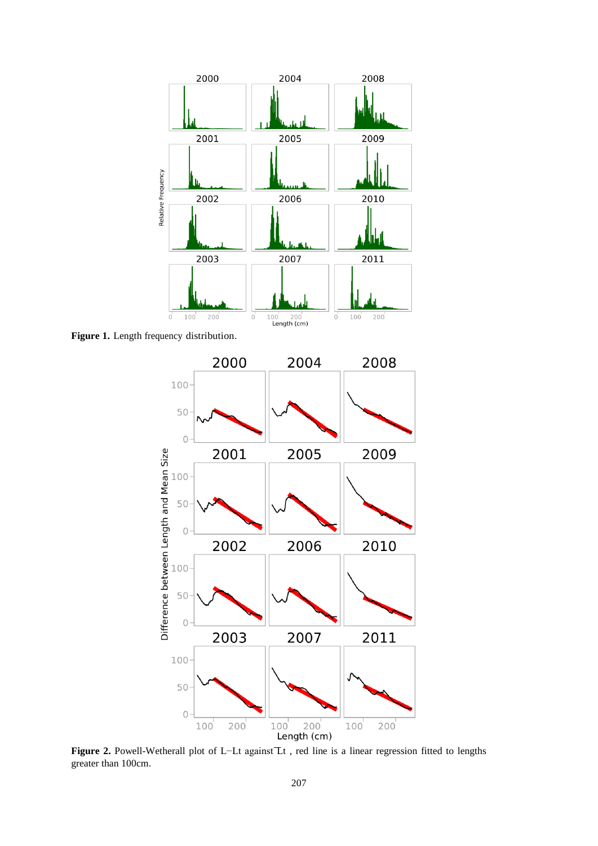

**Figure 1.** Length frequency distribution.



**Figure 2.** Powell-Wetherall plot of L−Lt against Lt , red line is a linear regression fitted to lengths greater than 100cm.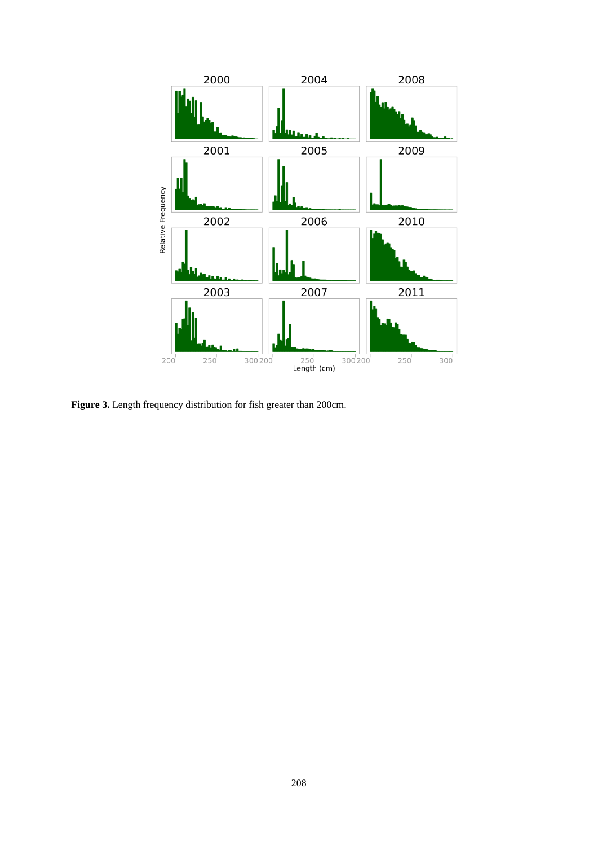

Figure 3. Length frequency distribution for fish greater than 200cm.